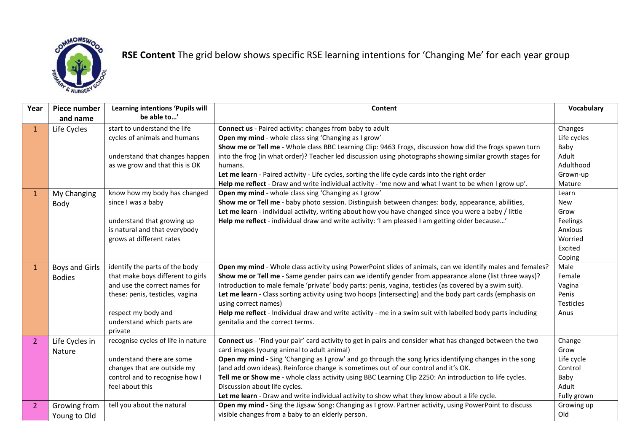

## **RSE Content** The grid below shows specific RSE learning intentions for 'Changing Me' for each year group

| Year           | Piece number<br>and name | Learning intentions 'Pupils will<br>be able to' | <b>Content</b>                                                                                              | Vocabulary  |
|----------------|--------------------------|-------------------------------------------------|-------------------------------------------------------------------------------------------------------------|-------------|
| $\mathbf{1}$   | Life Cycles              | start to understand the life                    | <b>Connect us</b> - Paired activity: changes from baby to adult                                             | Changes     |
|                |                          | cycles of animals and humans                    | Open my mind - whole class sing 'Changing as I grow'                                                        | Life cycles |
|                |                          |                                                 | Show me or Tell me - Whole class BBC Learning Clip: 9463 Frogs, discussion how did the frogs spawn turn     | Baby        |
|                |                          | understand that changes happen                  | into the frog (in what order)? Teacher led discussion using photographs showing similar growth stages for   | Adult       |
|                |                          | as we grow and that this is OK                  | humans.                                                                                                     | Adulthood   |
|                |                          |                                                 | Let me learn - Paired activity - Life cycles, sorting the life cycle cards into the right order             | Grown-up    |
|                |                          |                                                 | Help me reflect - Draw and write individual activity - 'me now and what I want to be when I grow up'.       | Mature      |
| $\mathbf{1}$   | My Changing              | know how my body has changed                    | Open my mind - whole class sing 'Changing as I grow'                                                        | Learn       |
|                | Body                     | since I was a baby                              | Show me or Tell me - baby photo session. Distinguish between changes: body, appearance, abilities,          | <b>New</b>  |
|                |                          |                                                 | Let me learn - individual activity, writing about how you have changed since you were a baby / little       | Grow        |
|                |                          | understand that growing up                      | Help me reflect - individual draw and write activity: 'I am pleased I am getting older because'             | Feelings    |
|                |                          | is natural and that everybody                   |                                                                                                             | Anxious     |
|                |                          | grows at different rates                        |                                                                                                             | Worried     |
|                |                          |                                                 |                                                                                                             | Excited     |
|                |                          |                                                 |                                                                                                             | Coping      |
| $\mathbf{1}$   | <b>Boys and Girls</b>    | identify the parts of the body                  | Open my mind - Whole class activity using PowerPoint slides of animals, can we identify males and females?  | Male        |
|                | <b>Bodies</b>            | that make boys different to girls               | Show me or Tell me - Same gender pairs can we identify gender from appearance alone (list three ways)?      | Female      |
|                |                          | and use the correct names for                   | Introduction to male female 'private' body parts: penis, vagina, testicles (as covered by a swim suit).     | Vagina      |
|                |                          | these: penis, testicles, vagina                 | Let me learn - Class sorting activity using two hoops (intersecting) and the body part cards (emphasis on   | Penis       |
|                |                          |                                                 | using correct names)                                                                                        | Testicles   |
|                |                          | respect my body and                             | Help me reflect - Individual draw and write activity - me in a swim suit with labelled body parts including | Anus        |
|                |                          | understand which parts are<br>private           | genitalia and the correct terms.                                                                            |             |
| $\overline{2}$ | Life Cycles in           | recognise cycles of life in nature              | Connect us - 'Find your pair' card activity to get in pairs and consider what has changed between the two   | Change      |
|                | Nature                   |                                                 | card images (young animal to adult animal)                                                                  | Grow        |
|                |                          | understand there are some                       | Open my mind - Sing 'Changing as I grow' and go through the song lyrics identifying changes in the song     | Life cycle  |
|                |                          | changes that are outside my                     | (and add own ideas). Reinforce change is sometimes out of our control and it's OK.                          | Control     |
|                |                          | control and to recognise how I                  | Tell me or Show me - whole class activity using BBC Learning Clip 2250: An introduction to life cycles.     | Baby        |
|                |                          | feel about this                                 | Discussion about life cycles.                                                                               | Adult       |
|                |                          |                                                 | Let me learn - Draw and write individual activity to show what they know about a life cycle.                | Fully grown |
| $\overline{2}$ | Growing from             | tell you about the natural                      | Open my mind - Sing the Jigsaw Song: Changing as I grow. Partner activity, using PowerPoint to discuss      | Growing up  |
|                | Young to Old             |                                                 | visible changes from a baby to an elderly person.                                                           | Old         |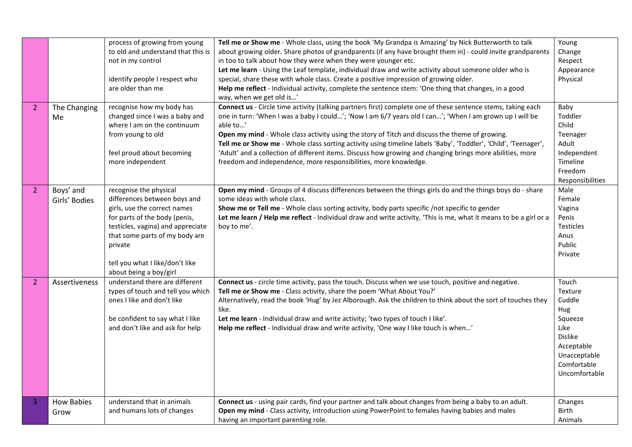| $\overline{2}$        | The Changing<br>Me         | process of growing from young<br>to old and understand that this is<br>not in my control<br>identify people I respect who<br>are older than me<br>recognise how my body has<br>changed since I was a baby and<br>where I am on the continuum                           | Tell me or Show me - Whole class, using the book 'My Grandpa is Amazing' by Nick Butterworth to talk<br>about growing older. Share photos of grandparents (if any have brought them in) - could invite grandparents<br>in too to talk about how they were when they were younger etc.<br>Let me learn - Using the Leaf template, individual draw and write activity about someone older who is<br>special, share these with whole class. Create a positive impression of growing older.<br>Help me reflect - Individual activity, complete the sentence stem: 'One thing that changes, in a good<br>way, when we get old is'<br>Connect us - Circle time activity (talking partners first) complete one of these sentence stems, taking each<br>one in turn: 'When I was a baby I could'; 'Now I am 6/7 years old I can'; 'When I am grown up I will be<br>able to' | Young<br>Change<br>Respect<br>Appearance<br>Physical<br>Baby<br>Toddler<br>Child                                                     |
|-----------------------|----------------------------|------------------------------------------------------------------------------------------------------------------------------------------------------------------------------------------------------------------------------------------------------------------------|---------------------------------------------------------------------------------------------------------------------------------------------------------------------------------------------------------------------------------------------------------------------------------------------------------------------------------------------------------------------------------------------------------------------------------------------------------------------------------------------------------------------------------------------------------------------------------------------------------------------------------------------------------------------------------------------------------------------------------------------------------------------------------------------------------------------------------------------------------------------|--------------------------------------------------------------------------------------------------------------------------------------|
|                       |                            | from young to old<br>feel proud about becoming<br>more independent                                                                                                                                                                                                     | Open my mind - Whole class activity using the story of Titch and discuss the theme of growing.<br>Tell me or Show me - Whole class sorting activity using timeline labels 'Baby', 'Toddler', 'Child', 'Teenager',<br>'Adult' and a collection of different items. Discuss how growing and changing brings more abilities, more<br>freedom and independence, more responsibilities, more knowledge.                                                                                                                                                                                                                                                                                                                                                                                                                                                                  | Teenager<br>Adult<br>Independent<br>Timeline<br>Freedom<br>Responsibilities                                                          |
| $\overline{2}$        | Boys' and<br>Girls' Bodies | recognise the physical<br>differences between boys and<br>girls, use the correct names<br>for parts of the body (penis,<br>testicles, vagina) and appreciate<br>that some parts of my body are<br>private<br>tell you what I like/don't like<br>about being a boy/girl | Open my mind - Groups of 4 discuss differences between the things girls do and the things boys do - share<br>some ideas with whole class.<br>Show me or Tell me - Whole class sorting activity, body parts specific /not specific to gender<br>Let me learn / Help me reflect - Individual draw and write activity, 'This is me, what it means to be a girl or a<br>boy to me'.                                                                                                                                                                                                                                                                                                                                                                                                                                                                                     | Male<br>Female<br>Vagina<br>Penis<br><b>Testicles</b><br>Anus<br>Public<br>Private                                                   |
| $\mathbf{2}^{\prime}$ | Assertiveness              | understand there are different<br>types of touch and tell you which<br>ones I like and don't like<br>be confident to say what I like<br>and don't like and ask for help                                                                                                | Connect us - circle time activity, pass the touch. Discuss when we use touch, positive and negative.<br>Tell me or Show me - Class activity, share the poem 'What About You?'<br>Alternatively, read the book 'Hug' by Jez Alborough. Ask the children to think about the sort of touches they<br>like.<br>Let me learn - Individual draw and write activity; 'two types of touch I like'.<br>Help me reflect - Individual draw and write activity, 'One way I like touch is when'                                                                                                                                                                                                                                                                                                                                                                                  | Touch<br>Texture<br>Cuddle<br>Hug<br>Squeeze<br>Like<br><b>Dislike</b><br>Acceptable<br>Unacceptable<br>Comfortable<br>Uncomfortable |
| 3                     | <b>How Babies</b><br>Grow  | understand that in animals<br>and humans lots of changes                                                                                                                                                                                                               | Connect us - using pair cards, find your partner and talk about changes from being a baby to an adult.<br>Open my mind - Class activity, introduction using PowerPoint to females having babies and males<br>having an important parenting role.                                                                                                                                                                                                                                                                                                                                                                                                                                                                                                                                                                                                                    | Changes<br><b>Birth</b><br>Animals                                                                                                   |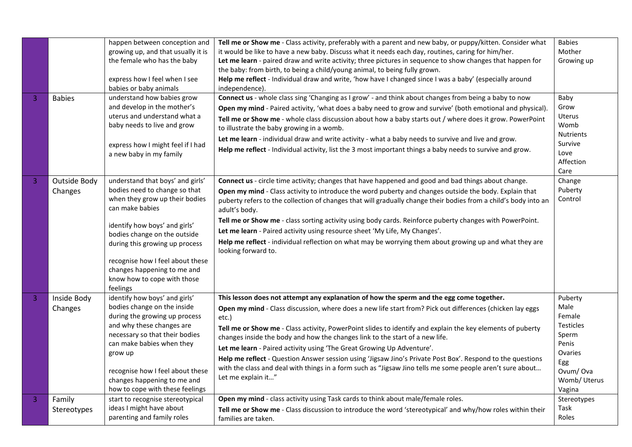|   |               | happen between conception and      | Tell me or Show me - Class activity, preferably with a parent and new baby, or puppy/kitten. Consider what      | <b>Babies</b>     |
|---|---------------|------------------------------------|-----------------------------------------------------------------------------------------------------------------|-------------------|
|   |               | growing up, and that usually it is | it would be like to have a new baby. Discuss what it needs each day, routines, caring for him/her.              | Mother            |
|   |               | the female who has the baby        | Let me learn - paired draw and write activity; three pictures in sequence to show changes that happen for       | Growing up        |
|   |               |                                    | the baby: from birth, to being a child/young animal, to being fully grown.                                      |                   |
|   |               | express how I feel when I see      | Help me reflect - Individual draw and write, 'how have I changed since I was a baby' (especially around         |                   |
|   |               | babies or baby animals             | independence).                                                                                                  |                   |
| 3 | <b>Babies</b> | understand how babies grow         | Connect us - whole class sing 'Changing as I grow' - and think about changes from being a baby to now           | Baby              |
|   |               | and develop in the mother's        | Open my mind - Paired activity, 'what does a baby need to grow and survive' (both emotional and physical).      | Grow              |
|   |               | uterus and understand what a       | Tell me or Show me - whole class discussion about how a baby starts out / where does it grow. PowerPoint        | Uterus            |
|   |               | baby needs to live and grow        | to illustrate the baby growing in a womb.                                                                       | Womb              |
|   |               |                                    | Let me learn - individual draw and write activity - what a baby needs to survive and live and grow.             | <b>Nutrients</b>  |
|   |               | express how I might feel if I had  | Help me reflect - Individual activity, list the 3 most important things a baby needs to survive and grow.       | Survive           |
|   |               | a new baby in my family            |                                                                                                                 | Love              |
|   |               |                                    |                                                                                                                 | Affection<br>Care |
|   |               | understand that boys' and girls'   | Connect us - circle time activity; changes that have happened and good and bad things about change.             | Change            |
| 3 | Outside Body  | bodies need to change so that      |                                                                                                                 | Puberty           |
|   | Changes       | when they grow up their bodies     | Open my mind - Class activity to introduce the word puberty and changes outside the body. Explain that          | Control           |
|   |               | can make babies                    | puberty refers to the collection of changes that will gradually change their bodies from a child's body into an |                   |
|   |               |                                    | adult's body.                                                                                                   |                   |
|   |               | identify how boys' and girls'      | Tell me or Show me - class sorting activity using body cards. Reinforce puberty changes with PowerPoint.        |                   |
|   |               | bodies change on the outside       | Let me learn - Paired activity using resource sheet 'My Life, My Changes'.                                      |                   |
|   |               | during this growing up process     | Help me reflect - individual reflection on what may be worrying them about growing up and what they are         |                   |
|   |               |                                    | looking forward to.                                                                                             |                   |
|   |               | recognise how I feel about these   |                                                                                                                 |                   |
|   |               | changes happening to me and        |                                                                                                                 |                   |
|   |               | know how to cope with those        |                                                                                                                 |                   |
|   |               | feelings                           |                                                                                                                 |                   |
| 3 | Inside Body   | identify how boys' and girls'      | This lesson does not attempt any explanation of how the sperm and the egg come together.                        | Puberty           |
|   | Changes       | bodies change on the inside        | Open my mind - Class discussion, where does a new life start from? Pick out differences (chicken lay eggs       | Male              |
|   |               | during the growing up process      | etc.)                                                                                                           | Female            |
|   |               | and why these changes are          | Tell me or Show me - Class activity, PowerPoint slides to identify and explain the key elements of puberty      | <b>Testicles</b>  |
|   |               | necessary so that their bodies     | changes inside the body and how the changes link to the start of a new life.                                    | Sperm             |
|   |               | can make babies when they          | Let me learn - Paired activity using 'The Great Growing Up Adventure'.                                          | Penis             |
|   |               | grow up                            | Help me reflect - Question Answer session using 'Jigsaw Jino's Private Post Box'. Respond to the questions      | Ovaries           |
|   |               | recognise how I feel about these   | with the class and deal with things in a form such as "Jigsaw Jino tells me some people aren't sure about       | Egg<br>Ovum/Ova   |
|   |               | changes happening to me and        | Let me explain it"                                                                                              | Womb/Uterus       |
|   |               | how to cope with these feelings    |                                                                                                                 | Vagina            |
| 3 | Family        | start to recognise stereotypical   | Open my mind - class activity using Task cards to think about male/female roles.                                | Stereotypes       |
|   | Stereotypes   | ideas I might have about           | Tell me or Show me - Class discussion to introduce the word 'stereotypical' and why/how roles within their      | Task              |
|   |               | parenting and family roles         | families are taken.                                                                                             | Roles             |
|   |               |                                    |                                                                                                                 |                   |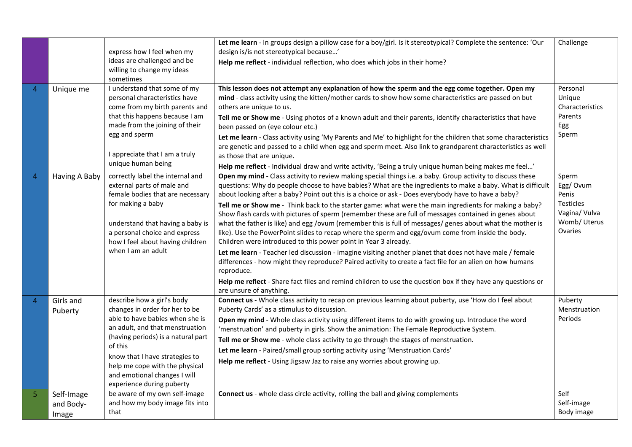|   |                                  | express how I feel when my<br>ideas are challenged and be<br>willing to change my ideas<br>sometimes                                                                                                                                                                                                                 | Let me learn - In groups design a pillow case for a boy/girl. Is it stereotypical? Complete the sentence: 'Our<br>design is/is not stereotypical because'<br>Help me reflect - individual reflection, who does which jobs in their home?                                                                                                                                                                                                                                                                                                                                                                                                                                                                                                                                                                                                                                                                                                                                                                                                                                                                                                                                                                                 | Challenge                                                                                  |
|---|----------------------------------|----------------------------------------------------------------------------------------------------------------------------------------------------------------------------------------------------------------------------------------------------------------------------------------------------------------------|--------------------------------------------------------------------------------------------------------------------------------------------------------------------------------------------------------------------------------------------------------------------------------------------------------------------------------------------------------------------------------------------------------------------------------------------------------------------------------------------------------------------------------------------------------------------------------------------------------------------------------------------------------------------------------------------------------------------------------------------------------------------------------------------------------------------------------------------------------------------------------------------------------------------------------------------------------------------------------------------------------------------------------------------------------------------------------------------------------------------------------------------------------------------------------------------------------------------------|--------------------------------------------------------------------------------------------|
| 4 | Unique me                        | I understand that some of my<br>personal characteristics have<br>come from my birth parents and<br>that this happens because I am<br>made from the joining of their<br>egg and sperm<br>I appreciate that I am a truly<br>unique human being                                                                         | This lesson does not attempt any explanation of how the sperm and the egg come together. Open my<br>mind - class activity using the kitten/mother cards to show how some characteristics are passed on but<br>others are unique to us.<br>Tell me or Show me - Using photos of a known adult and their parents, identify characteristics that have<br>been passed on (eye colour etc.)<br>Let me learn - Class activity using 'My Parents and Me' to highlight for the children that some characteristics<br>are genetic and passed to a child when egg and sperm meet. Also link to grandparent characteristics as well<br>as those that are unique.<br>Help me reflect - Individual draw and write activity, 'Being a truly unique human being makes me feel'                                                                                                                                                                                                                                                                                                                                                                                                                                                          | Personal<br>Unique<br>Characteristics<br>Parents<br>Egg<br>Sperm                           |
| Δ | Having A Baby                    | correctly label the internal and<br>external parts of male and<br>female bodies that are necessary<br>for making a baby<br>understand that having a baby is<br>a personal choice and express<br>how I feel about having children<br>when I am an adult                                                               | Open my mind - Class activity to review making special things i.e. a baby. Group activity to discuss these<br>questions: Why do people choose to have babies? What are the ingredients to make a baby. What is difficult<br>about looking after a baby? Point out this is a choice or ask - Does everybody have to have a baby?<br>Tell me or Show me - Think back to the starter game: what were the main ingredients for making a baby?<br>Show flash cards with pictures of sperm (remember these are full of messages contained in genes about<br>what the father is like) and egg /ovum (remember this is full of messages/ genes about what the mother is<br>like). Use the PowerPoint slides to recap where the sperm and egg/ovum come from inside the body.<br>Children were introduced to this power point in Year 3 already.<br>Let me learn - Teacher led discussion - imagine visiting another planet that does not have male / female<br>differences - how might they reproduce? Paired activity to create a fact file for an alien on how humans<br>reproduce.<br>Help me reflect - Share fact files and remind children to use the question box if they have any questions or<br>are unsure of anything. | Sperm<br>Egg/Ovum<br>Penis<br><b>Testicles</b><br>Vagina/ Vulva<br>Womb/ Uterus<br>Ovaries |
| 4 | Girls and<br>Puberty             | describe how a girl's body<br>changes in order for her to be<br>able to have babies when she is<br>an adult, and that menstruation<br>(having periods) is a natural part<br>of this<br>know that I have strategies to<br>help me cope with the physical<br>and emotional changes I will<br>experience during puberty | Connect us - Whole class activity to recap on previous learning about puberty, use 'How do I feel about<br>Puberty Cards' as a stimulus to discussion.<br>Open my mind - Whole class activity using different items to do with growing up. Introduce the word<br>'menstruation' and puberty in girls. Show the animation: The Female Reproductive System.<br>Tell me or Show me - whole class activity to go through the stages of menstruation.<br>Let me learn - Paired/small group sorting activity using 'Menstruation Cards'<br>Help me reflect - Using Jigsaw Jaz to raise any worries about growing up.                                                                                                                                                                                                                                                                                                                                                                                                                                                                                                                                                                                                           | Puberty<br>Menstruation<br><b>Periods</b>                                                  |
| 5 | Self-Image<br>and Body-<br>Image | be aware of my own self-image<br>and how my body image fits into<br>that                                                                                                                                                                                                                                             | Connect us - whole class circle activity, rolling the ball and giving complements                                                                                                                                                                                                                                                                                                                                                                                                                                                                                                                                                                                                                                                                                                                                                                                                                                                                                                                                                                                                                                                                                                                                        | Self<br>Self-image<br>Body image                                                           |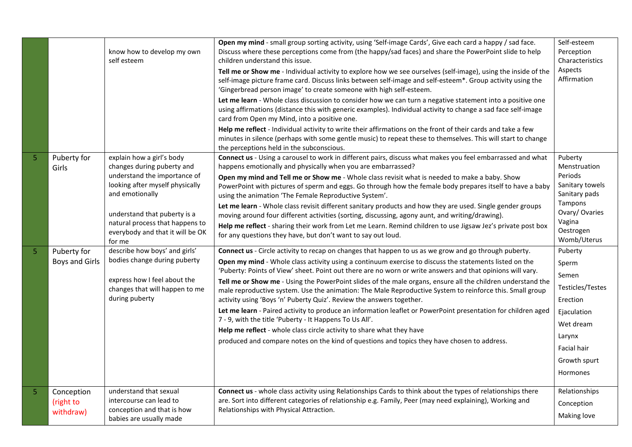|   |                                      | know how to develop my own<br>self esteem                                                                                                                                                                                                                      | Open my mind - small group sorting activity, using 'Self-image Cards', Give each card a happy / sad face.<br>Discuss where these perceptions come from (the happy/sad faces) and share the PowerPoint slide to help<br>children understand this issue.<br>Tell me or Show me - Individual activity to explore how we see ourselves (self-image), using the inside of the<br>self-image picture frame card. Discuss links between self-image and self-esteem*. Group activity using the<br>'Gingerbread person image' to create someone with high self-esteem.<br>Let me learn - Whole class discussion to consider how we can turn a negative statement into a positive one<br>using affirmations (distance this with generic examples). Individual activity to change a sad face self-image<br>card from Open my Mind, into a positive one.<br>Help me reflect - Individual activity to write their affirmations on the front of their cards and take a few<br>minutes in silence (perhaps with some gentle music) to repeat these to themselves. This will start to change<br>the perceptions held in the subconscious. | Self-esteem<br>Perception<br>Characteristics<br>Aspects<br>Affirmation                                                                            |
|---|--------------------------------------|----------------------------------------------------------------------------------------------------------------------------------------------------------------------------------------------------------------------------------------------------------------|---------------------------------------------------------------------------------------------------------------------------------------------------------------------------------------------------------------------------------------------------------------------------------------------------------------------------------------------------------------------------------------------------------------------------------------------------------------------------------------------------------------------------------------------------------------------------------------------------------------------------------------------------------------------------------------------------------------------------------------------------------------------------------------------------------------------------------------------------------------------------------------------------------------------------------------------------------------------------------------------------------------------------------------------------------------------------------------------------------------------------|---------------------------------------------------------------------------------------------------------------------------------------------------|
| 5 | Puberty for<br>Girls                 | explain how a girl's body<br>changes during puberty and<br>understand the importance of<br>looking after myself physically<br>and emotionally<br>understand that puberty is a<br>natural process that happens to<br>everybody and that it will be OK<br>for me | Connect us - Using a carousel to work in different pairs, discuss what makes you feel embarrassed and what<br>happens emotionally and physically when you are embarrassed?<br>Open my mind and Tell me or Show me - Whole class revisit what is needed to make a baby. Show<br>PowerPoint with pictures of sperm and eggs. Go through how the female body prepares itself to have a baby<br>using the animation 'The Female Reproductive System'.<br>Let me learn - Whole class revisit different sanitary products and how they are used. Single gender groups<br>moving around four different activities (sorting, discussing, agony aunt, and writing/drawing).<br>Help me reflect - sharing their work from Let me Learn. Remind children to use Jigsaw Jez's private post box<br>for any questions they have, but don't want to say out loud.                                                                                                                                                                                                                                                                        | Puberty<br>Menstruation<br>Periods<br>Sanitary towels<br>Sanitary pads<br>Tampons<br>Ovary/Ovaries<br>Vagina<br>Oestrogen<br>Womb/Uterus          |
| 5 | Puberty for<br><b>Boys and Girls</b> | describe how boys' and girls'<br>bodies change during puberty<br>express how I feel about the<br>changes that will happen to me<br>during puberty                                                                                                              | Connect us - Circle activity to recap on changes that happen to us as we grow and go through puberty.<br>Open my mind - Whole class activity using a continuum exercise to discuss the statements listed on the<br>'Puberty: Points of View' sheet. Point out there are no worn or write answers and that opinions will vary.<br>Tell me or Show me - Using the PowerPoint slides of the male organs, ensure all the children understand the<br>male reproductive system. Use the animation: The Male Reproductive System to reinforce this. Small group<br>activity using 'Boys 'n' Puberty Quiz'. Review the answers together.<br>Let me learn - Paired activity to produce an information leaflet or PowerPoint presentation for children aged<br>7 - 9, with the title 'Puberty - It Happens To Us All'.<br>Help me reflect - whole class circle activity to share what they have<br>produced and compare notes on the kind of questions and topics they have chosen to address.                                                                                                                                      | Puberty<br>Sperm<br>Semen<br>Testicles/Testes<br>Erection<br>Ejaculation<br>Wet dream<br>Larynx<br>Facial hair<br>Growth spurt<br><b>Hormones</b> |
| 5 | Conception<br>(right to<br>withdraw) | understand that sexual<br>intercourse can lead to<br>conception and that is how<br>babies are usually made                                                                                                                                                     | Connect us - whole class activity using Relationships Cards to think about the types of relationships there<br>are. Sort into different categories of relationship e.g. Family, Peer (may need explaining), Working and<br>Relationships with Physical Attraction.                                                                                                                                                                                                                                                                                                                                                                                                                                                                                                                                                                                                                                                                                                                                                                                                                                                        | Relationships<br>Conception<br>Making love                                                                                                        |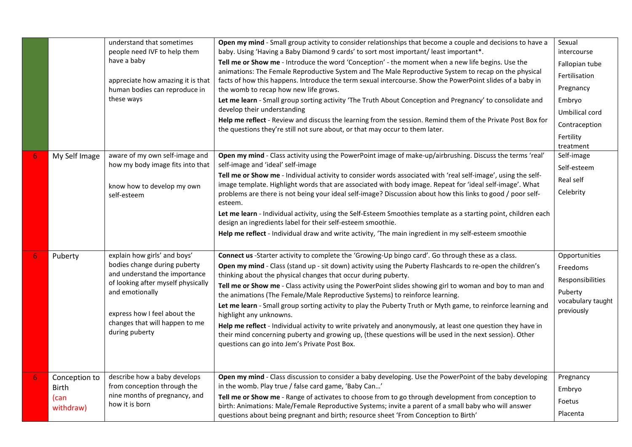|   |                                                    | understand that sometimes<br>people need IVF to help them<br>have a baby<br>appreciate how amazing it is that<br>human bodies can reproduce in<br>these ways                                                                               | Open my mind - Small group activity to consider relationships that become a couple and decisions to have a<br>baby. Using 'Having a Baby Diamond 9 cards' to sort most important/ least important*.<br>Tell me or Show me - Introduce the word 'Conception' - the moment when a new life begins. Use the<br>animations: The Female Reproductive System and The Male Reproductive System to recap on the physical<br>facts of how this happens. Introduce the term sexual intercourse. Show the PowerPoint slides of a baby in<br>the womb to recap how new life grows.<br>Let me learn - Small group sorting activity 'The Truth About Conception and Pregnancy' to consolidate and<br>develop their understanding<br>Help me reflect - Review and discuss the learning from the session. Remind them of the Private Post Box for<br>the questions they're still not sure about, or that may occur to them later. | Sexual<br>intercourse<br>Fallopian tube<br>Fertilisation<br>Pregnancy<br>Embryo<br>Umbilical cord<br>Contraception<br>Fertility<br>treatment |
|---|----------------------------------------------------|--------------------------------------------------------------------------------------------------------------------------------------------------------------------------------------------------------------------------------------------|-------------------------------------------------------------------------------------------------------------------------------------------------------------------------------------------------------------------------------------------------------------------------------------------------------------------------------------------------------------------------------------------------------------------------------------------------------------------------------------------------------------------------------------------------------------------------------------------------------------------------------------------------------------------------------------------------------------------------------------------------------------------------------------------------------------------------------------------------------------------------------------------------------------------|----------------------------------------------------------------------------------------------------------------------------------------------|
|   | My Self Image                                      | aware of my own self-image and<br>how my body image fits into that<br>know how to develop my own<br>self-esteem                                                                                                                            | Open my mind - Class activity using the PowerPoint image of make-up/airbrushing. Discuss the terms 'real'<br>self-image and 'ideal' self-image<br>Tell me or Show me - Individual activity to consider words associated with 'real self-image', using the self-<br>image template. Highlight words that are associated with body image. Repeat for 'ideal self-image'. What<br>problems are there is not being your ideal self-image? Discussion about how this links to good / poor self-<br>esteem.<br>Let me learn - Individual activity, using the Self-Esteem Smoothies template as a starting point, children each<br>design an ingredients label for their self-esteem smoothie.<br>Help me reflect - Individual draw and write activity, 'The main ingredient in my self-esteem smoothie                                                                                                                  | Self-image<br>Self-esteem<br>Real self<br>Celebrity                                                                                          |
|   | Puberty                                            | explain how girls' and boys'<br>bodies change during puberty<br>and understand the importance<br>of looking after myself physically<br>and emotionally<br>express how I feel about the<br>changes that will happen to me<br>during puberty | Connect us -Starter activity to complete the 'Growing-Up bingo card'. Go through these as a class.<br>Open my mind - Class (stand up - sit down) activity using the Puberty Flashcards to re-open the children's<br>thinking about the physical changes that occur during puberty.<br>Tell me or Show me - Class activity using the PowerPoint slides showing girl to woman and boy to man and<br>the animations (The Female/Male Reproductive Systems) to reinforce learning.<br>Let me learn - Small group sorting activity to play the Puberty Truth or Myth game, to reinforce learning and<br>highlight any unknowns.<br>Help me reflect - Individual activity to write privately and anonymously, at least one question they have in<br>their mind concerning puberty and growing up, (these questions will be used in the next session). Other<br>questions can go into Jem's Private Post Box.            | Opportunities<br>Freedoms<br>Responsibilities<br>Puberty<br>vocabulary taught<br>previously                                                  |
| 6 | Conception to<br><b>Birth</b><br>(can<br>withdraw) | describe how a baby develops<br>from conception through the<br>nine months of pregnancy, and<br>how it is born                                                                                                                             | Open my mind - Class discussion to consider a baby developing. Use the PowerPoint of the baby developing<br>in the womb. Play true / false card game, 'Baby Can'<br>Tell me or Show me - Range of activates to choose from to go through development from conception to<br>birth: Animations: Male/Female Reproductive Systems; invite a parent of a small baby who will answer<br>questions about being pregnant and birth; resource sheet 'From Conception to Birth'                                                                                                                                                                                                                                                                                                                                                                                                                                            | Pregnancy<br>Embryo<br>Foetus<br>Placenta                                                                                                    |